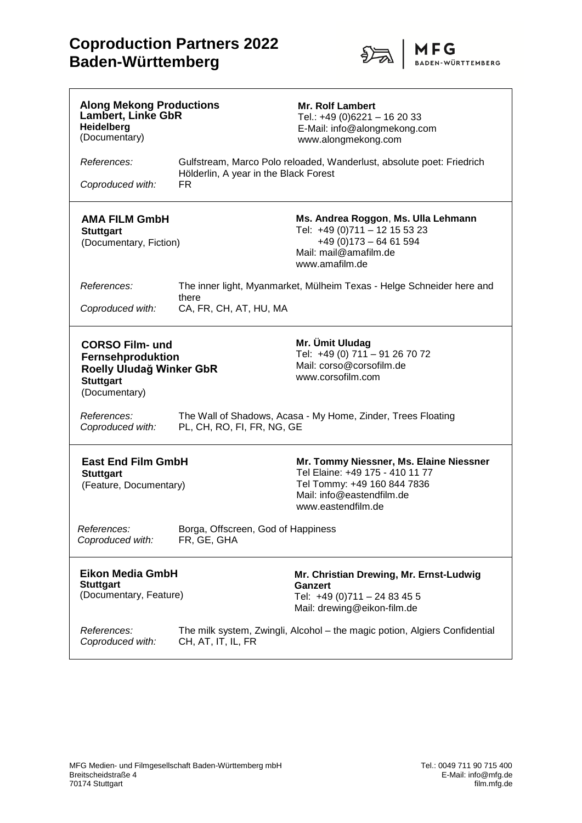## **Coproduction Partners 2022 Baden-Württemberg**



| <b>Along Mekong Productions</b><br><b>Lambert, Linke GbR</b><br>Heidelberg<br>(Documentary)                  |                                                                                            | <b>Mr. Rolf Lambert</b><br>Tel.: +49 (0)6221 - 16 20 33<br>E-Mail: info@alongmekong.com<br>www.alongmekong.com                                               |
|--------------------------------------------------------------------------------------------------------------|--------------------------------------------------------------------------------------------|--------------------------------------------------------------------------------------------------------------------------------------------------------------|
| References:                                                                                                  | Hölderlin, A year in the Black Forest                                                      | Gulfstream, Marco Polo reloaded, Wanderlust, absolute poet: Friedrich                                                                                        |
| Coproduced with:                                                                                             | FR.                                                                                        |                                                                                                                                                              |
| <b>AMA FILM GmbH</b><br><b>Stuttgart</b><br>(Documentary, Fiction)                                           |                                                                                            | Ms. Andrea Roggon, Ms. Ulla Lehmann<br>Tel: +49 (0)711 - 12 15 53 23<br>$+49(0)173 - 6461594$<br>Mail: mail@amafilm.de<br>www.amafilm.de                     |
| References:                                                                                                  | The inner light, Myanmarket, Mülheim Texas - Helge Schneider here and                      |                                                                                                                                                              |
| Coproduced with:                                                                                             | there<br>CA, FR, CH, AT, HU, MA                                                            |                                                                                                                                                              |
| <b>CORSO Film- und</b><br>Fernsehproduktion<br>Roelly Uludağ Winker GbR<br><b>Stuttgart</b><br>(Documentary) |                                                                                            | Mr. Ümit Uludag<br>Tel: +49 (0) 711 - 91 26 70 72<br>Mail: corso@corsofilm.de<br>www.corsofilm.com                                                           |
| References:<br>Coproduced with:                                                                              | The Wall of Shadows, Acasa - My Home, Zinder, Trees Floating<br>PL, CH, RO, FI, FR, NG, GE |                                                                                                                                                              |
| <b>East End Film GmbH</b><br><b>Stuttgart</b><br>(Feature, Documentary)                                      |                                                                                            | Mr. Tommy Niessner, Ms. Elaine Niessner<br>Tel Elaine: +49 175 - 410 11 77<br>Tel Tommy: +49 160 844 7836<br>Mail: info@eastendfilm.de<br>www.eastendfilm.de |
| References:<br>Coproduced with:                                                                              | Borga, Offscreen, God of Happiness<br>FR, GE, GHA                                          |                                                                                                                                                              |
| <b>Eikon Media GmbH</b><br><b>Stuttgart</b><br>(Documentary, Feature)                                        |                                                                                            | Mr. Christian Drewing, Mr. Ernst-Ludwig<br>Ganzert<br>Tel: +49 (0)711 - 24 83 45 5<br>Mail: drewing@eikon-film.de                                            |
| References:<br>Coproduced with:                                                                              | CH, AT, IT, IL, FR                                                                         | The milk system, Zwingli, Alcohol - the magic potion, Algiers Confidential                                                                                   |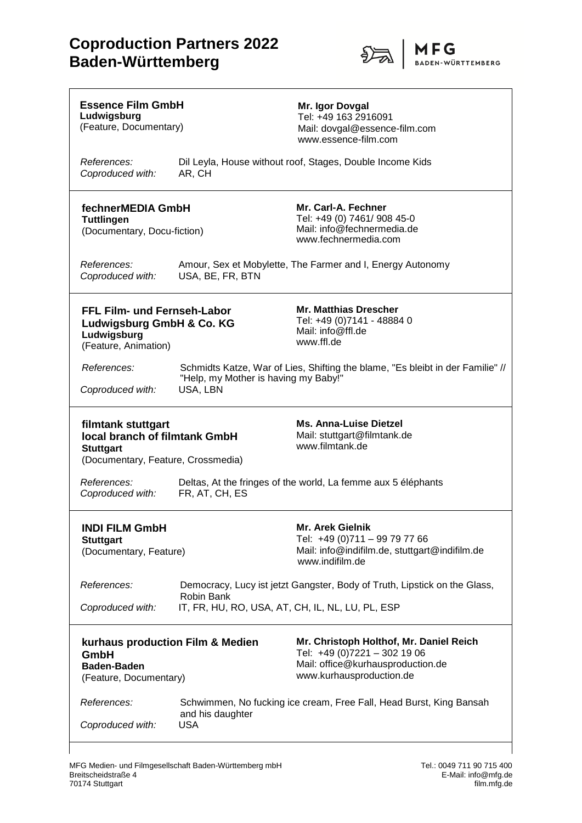## **Coproduction Partners 2022 Baden-Württemberg**



| <b>Essence Film GmbH</b><br>Ludwigsburg<br>(Feature, Documentary)                                             |                                                  | Mr. Igor Dovgal<br>Tel: +49 163 2916091<br>Mail: dovgal@essence-film.com<br>www.essence-film.com                                         |
|---------------------------------------------------------------------------------------------------------------|--------------------------------------------------|------------------------------------------------------------------------------------------------------------------------------------------|
| References:<br>Coproduced with:                                                                               | AR, CH                                           | Dil Leyla, House without roof, Stages, Double Income Kids                                                                                |
| fechnerMEDIA GmbH<br><b>Tuttlingen</b><br>(Documentary, Docu-fiction)                                         |                                                  | Mr. Carl-A. Fechner<br>Tel: +49 (0) 7461/ 908 45-0<br>Mail: info@fechnermedia.de<br>www.fechnermedia.com                                 |
| References:<br>Coproduced with:                                                                               | USA, BE, FR, BTN                                 | Amour, Sex et Mobylette, The Farmer and I, Energy Autonomy                                                                               |
| FFL Film- und Fernseh-Labor<br>Ludwigsburg GmbH & Co. KG<br>Ludwigsburg<br>(Feature, Animation)               |                                                  | <b>Mr. Matthias Drescher</b><br>Tel: +49 (0)7141 - 48884 0<br>Mail: info@ffl.de<br>www.ffl.de                                            |
| References:<br>Coproduced with:                                                                               | "Help, my Mother is having my Baby!"<br>USA, LBN | Schmidts Katze, War of Lies, Shifting the blame, "Es bleibt in der Familie" //                                                           |
| filmtank stuttgart<br>local branch of filmtank GmbH<br><b>Stuttgart</b><br>(Documentary, Feature, Crossmedia) |                                                  |                                                                                                                                          |
|                                                                                                               |                                                  | <b>Ms. Anna-Luise Dietzel</b><br>Mail: stuttgart@filmtank.de<br>www.filmtank.de                                                          |
| <i>References:</i><br>Coproduced with:                                                                        | FR, AT, CH, ES                                   | Deltas, At the fringes of the world, La femme aux 5 éléphants                                                                            |
| <b>INDI FILM GmbH</b><br><b>Stuttgart</b><br>(Documentary, Feature)                                           |                                                  | <b>Mr. Arek Gielnik</b><br>Tel: +49 (0)711 - 99 79 77 66<br>Mail: info@indifilm.de, stuttgart@indifilm.de<br>www.indifilm.de             |
| References:<br>Coproduced with:                                                                               | Robin Bank                                       | Democracy, Lucy ist jetzt Gangster, Body of Truth, Lipstick on the Glass,<br>IT, FR, HU, RO, USA, AT, CH, IL, NL, LU, PL, ESP            |
| GmbH<br><b>Baden-Baden</b><br>(Feature, Documentary)                                                          | kurhaus production Film & Medien                 | Mr. Christoph Holthof, Mr. Daniel Reich<br>Tel: +49 (0)7221 - 302 19 06<br>Mail: office@kurhausproduction.de<br>www.kurhausproduction.de |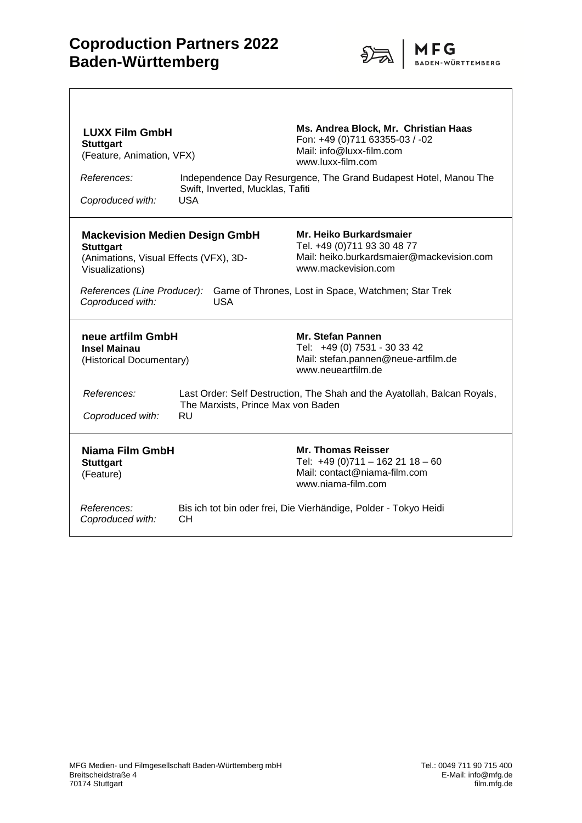

| <b>LUXX Film GmbH</b><br><b>Stuttgart</b><br>(Feature, Animation, VFX)<br>References:<br>Coproduced with:                                                                                                                                                                                                                                                                    | Swift, Inverted, Mucklas, Tafiti<br><b>USA</b>  | Ms. Andrea Block, Mr. Christian Haas<br>Fon: +49 (0)711 63355-03 / -02<br>Mail: info@luxx-film.com<br>www.luxx-film.com<br>Independence Day Resurgence, The Grand Budapest Hotel, Manou The |
|------------------------------------------------------------------------------------------------------------------------------------------------------------------------------------------------------------------------------------------------------------------------------------------------------------------------------------------------------------------------------|-------------------------------------------------|---------------------------------------------------------------------------------------------------------------------------------------------------------------------------------------------|
| Mr. Heiko Burkardsmaier<br><b>Mackevision Medien Design GmbH</b><br>Tel. +49 (0)711 93 30 48 77<br><b>Stuttgart</b><br>Mail: heiko.burkardsmaier@mackevision.com<br>(Animations, Visual Effects (VFX), 3D-<br>www.mackevision.com<br>Visualizations)<br>References (Line Producer):<br>Game of Thrones, Lost in Space, Watchmen; Star Trek<br>Coproduced with:<br><b>USA</b> |                                                 |                                                                                                                                                                                             |
| neue artfilm GmbH<br><b>Insel Mainau</b><br>(Historical Documentary)                                                                                                                                                                                                                                                                                                         |                                                 | <b>Mr. Stefan Pannen</b><br>Tel: +49 (0) 7531 - 30 33 42<br>Mail: stefan.pannen@neue-artfilm.de<br>www.neueartfilm.de                                                                       |
| References:<br>Coproduced with:                                                                                                                                                                                                                                                                                                                                              | The Marxists, Prince Max von Baden<br><b>RU</b> | Last Order: Self Destruction, The Shah and the Ayatollah, Balcan Royals,                                                                                                                    |
| Niama Film GmbH<br><b>Stuttgart</b><br>(Feature)                                                                                                                                                                                                                                                                                                                             |                                                 | <b>Mr. Thomas Reisser</b><br>Tel: +49 (0)711 - 162 21 18 - 60<br>Mail: contact@niama-film.com<br>www.niama-film.com                                                                         |
| References:<br>Coproduced with:                                                                                                                                                                                                                                                                                                                                              | CН                                              | Bis ich tot bin oder frei, Die Vierhändige, Polder - Tokyo Heidi                                                                                                                            |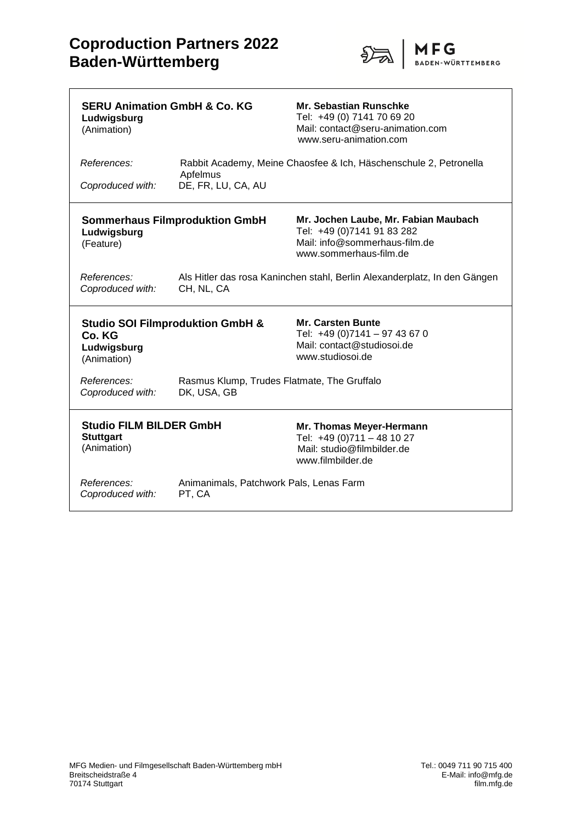$\overline{\Gamma}$ 



| <b>SERU Animation GmbH &amp; Co. KG</b><br>Ludwigsburg<br>(Animation) |                                                                                         | <b>Mr. Sebastian Runschke</b><br>Tel: +49 (0) 7141 70 69 20<br>Mail: contact@seru-animation.com<br>www.seru-animation.com     |
|-----------------------------------------------------------------------|-----------------------------------------------------------------------------------------|-------------------------------------------------------------------------------------------------------------------------------|
| References:<br>Coproduced with:                                       | Apfelmus<br>DE, FR, LU, CA, AU                                                          | Rabbit Academy, Meine Chaosfee & Ich, Häschenschule 2, Petronella                                                             |
| Ludwigsburg<br>(Feature)                                              | <b>Sommerhaus Filmproduktion GmbH</b>                                                   | Mr. Jochen Laube, Mr. Fabian Maubach<br>Tel: +49 (0)7141 91 83 282<br>Mail: info@sommerhaus-film.de<br>www.sommerhaus-film.de |
| References:<br>Coproduced with:                                       | Als Hitler das rosa Kaninchen stahl, Berlin Alexanderplatz, In den Gängen<br>CH, NL, CA |                                                                                                                               |
| Co. KG<br>Ludwigsburg<br>(Animation)                                  | <b>Studio SOI Filmproduktion GmbH &amp;</b>                                             | <b>Mr. Carsten Bunte</b><br>Tel: +49 (0)7141 - 97 43 67 0<br>Mail: contact@studiosoi.de<br>www.studiosoi.de                   |
| References:<br>Coproduced with:                                       | Rasmus Klump, Trudes Flatmate, The Gruffalo<br>DK, USA, GB                              |                                                                                                                               |
| <b>Studio FILM BILDER GmbH</b><br><b>Stuttgart</b><br>(Animation)     |                                                                                         | Mr. Thomas Meyer-Hermann<br>Tel: +49 (0)711 - 48 10 27<br>Mail: studio@filmbilder.de<br>www.filmbilder.de                     |
| References:<br>Coproduced with:                                       | Animanimals, Patchwork Pals, Lenas Farm<br>PT, CA                                       |                                                                                                                               |